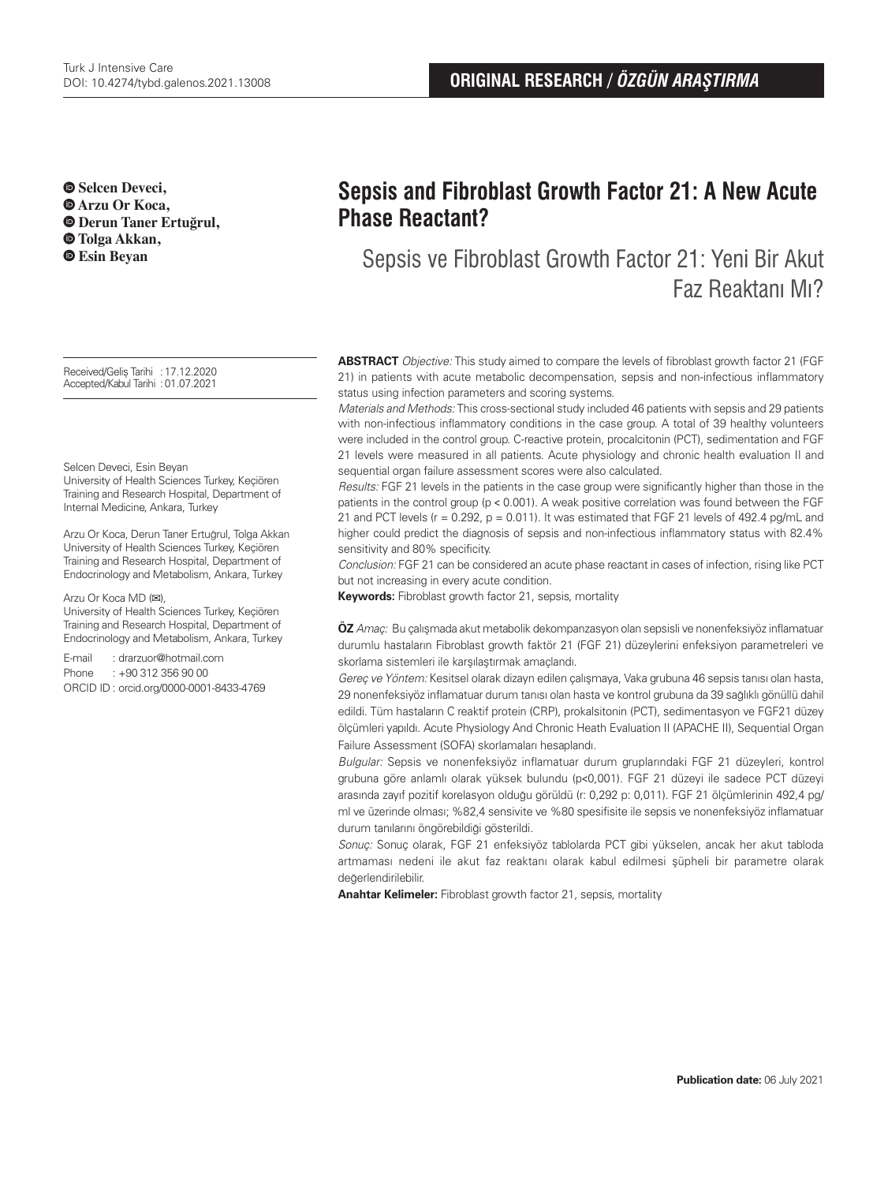$\bullet$  **Selcen Deveci. Arzu Or Koca, Derun Taner Ertuğrul, Tolga Akkan, Esin Beyan**

Received/Geliş Tarihi :17.12.2020 Accepted/Kabul Tarihi :01.07.2021

#### Selcen Deveci, Esin Beyan

University of Health Sciences Turkey, Keçiören Training and Research Hospital, Department of Internal Medicine, Ankara, Turkey

Arzu Or Koca, Derun Taner Ertuğrul, Tolga Akkan University of Health Sciences Turkey, Keçiören Training and Research Hospital, Department of Endocrinology and Metabolism, Ankara, Turkey

Arzu Or Koca MD (**✉**),

University of Health Sciences Turkey, Keçiören Training and Research Hospital, Department of Endocrinology and Metabolism, Ankara, Turkey

E-mail : drarzuor@hotmail.com Phone : +90 312 356 90 00 ORCID ID : orcid.org/0000-0001-8433-4769

# **Sepsis and Fibroblast Growth Factor 21: A New Acute Phase Reactant?**

Sepsis ve Fibroblast Growth Factor 21: Yeni Bir Akut Faz Reaktanı Mı?

**ABSTRACT** Objective: This study aimed to compare the levels of fibroblast growth factor 21 (FGF 21) in patients with acute metabolic decompensation, sepsis and non-infectious inflammatory status using infection parameters and scoring systems.

Materials and Methods: This cross-sectional study included 46 patients with sepsis and 29 patients with non-infectious inflammatory conditions in the case group. A total of 39 healthy volunteers were included in the control group. C-reactive protein, procalcitonin (PCT), sedimentation and FGF 21 levels were measured in all patients. Acute physiology and chronic health evaluation II and sequential organ failure assessment scores were also calculated.

Results: FGF 21 levels in the patients in the case group were significantly higher than those in the patients in the control group (p < 0.001). A weak positive correlation was found between the FGF 21 and PCT levels ( $r = 0.292$ ,  $p = 0.011$ ). It was estimated that FGF 21 levels of 492.4 pg/mL and higher could predict the diagnosis of sepsis and non-infectious inflammatory status with 82.4% sensitivity and 80% specificity.

Conclusion: FGF 21 can be considered an acute phase reactant in cases of infection, rising like PCT but not increasing in every acute condition.

**Keywords:** Fibroblast growth factor 21, sepsis, mortality

**ÖZ** Amaç: Bu çalışmada akut metabolik dekompanzasyon olan sepsisli ve nonenfeksiyöz inflamatuar durumlu hastaların Fibroblast growth faktör 21 (FGF 21) düzeylerini enfeksiyon parametreleri ve skorlama sistemleri ile karşılaştırmak amaçlandı.

Gerec ve Yöntem: Kesitsel olarak dizayn edilen çalışmaya, Vaka grubuna 46 sepsis tanısı olan hasta, 29 nonenfeksiyöz inflamatuar durum tanısı olan hasta ve kontrol grubuna da 39 sağlıklı gönüllü dahil edildi. Tüm hastaların C reaktif protein (CRP), prokalsitonin (PCT), sedimentasyon ve FGF21 düzey ölçümleri yapıldı. Acute Physiology And Chronic Heath Evaluation II (APACHE II), Sequential Organ Failure Assessment (SOFA) skorlamaları hesaplandı.

Bulgular: Sepsis ve nonenfeksiyöz inflamatuar durum gruplarındaki FGF 21 düzeyleri, kontrol grubuna göre anlamlı olarak yüksek bulundu (p˂0,001). FGF 21 düzeyi ile sadece PCT düzeyi arasında zayıf pozitif korelasyon olduğu görüldü (r: 0,292 p: 0,011). FGF 21 ölçümlerinin 492,4 pg/ ml ve üzerinde olması; %82,4 sensivite ve %80 spesifisite ile sepsis ve nonenfeksiyöz inflamatuar durum tanılarını öngörebildiği gösterildi.

Sonuç: Sonuç olarak, FGF 21 enfeksiyöz tablolarda PCT gibi yükselen, ancak her akut tabloda artmaması nedeni ile akut faz reaktanı olarak kabul edilmesi şüpheli bir parametre olarak değerlendirilebilir.

**Anahtar Kelimeler:** Fibroblast growth factor 21, sepsis, mortality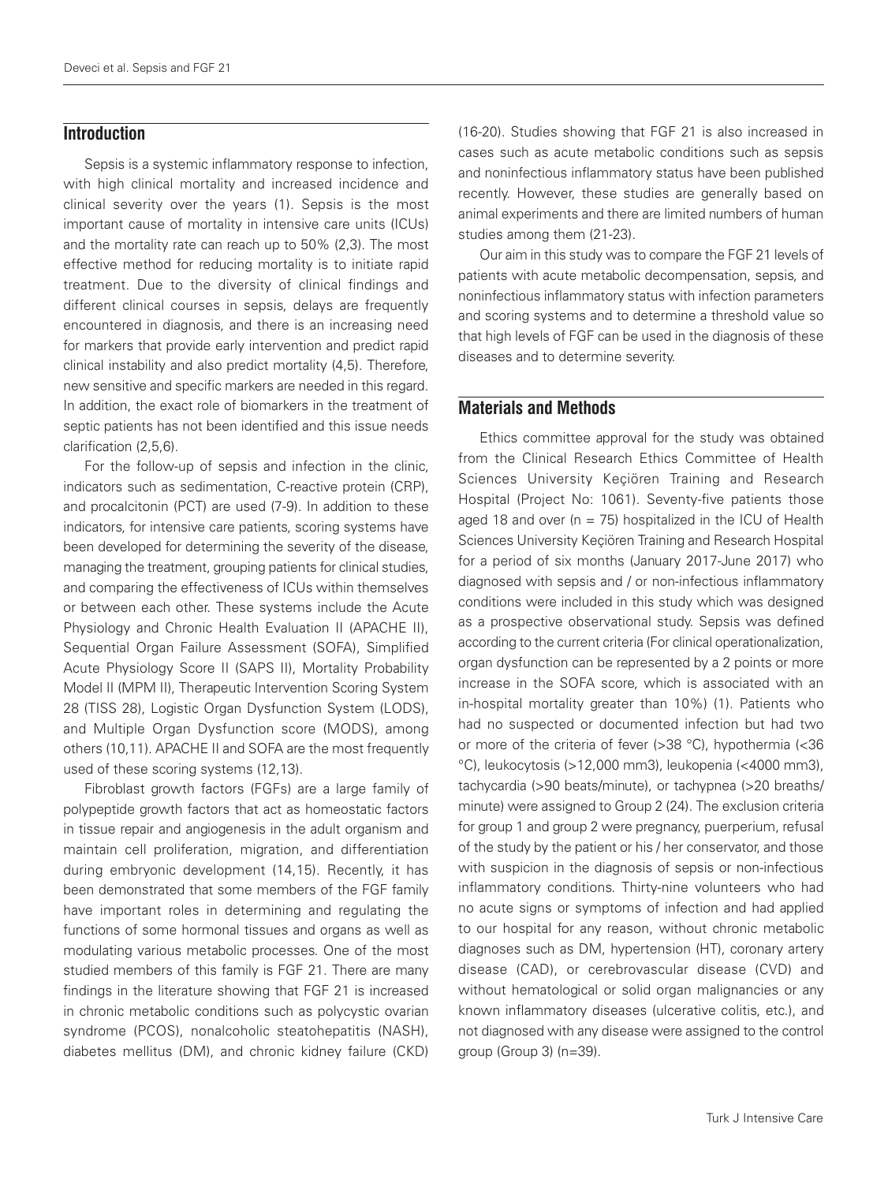## **Introduction**

Sepsis is a systemic inflammatory response to infection, with high clinical mortality and increased incidence and clinical severity over the years (1). Sepsis is the most important cause of mortality in intensive care units (ICUs) and the mortality rate can reach up to 50% (2,3). The most effective method for reducing mortality is to initiate rapid treatment. Due to the diversity of clinical findings and different clinical courses in sepsis, delays are frequently encountered in diagnosis, and there is an increasing need for markers that provide early intervention and predict rapid clinical instability and also predict mortality (4,5). Therefore, new sensitive and specific markers are needed in this regard. In addition, the exact role of biomarkers in the treatment of septic patients has not been identified and this issue needs clarification (2,5,6).

For the follow-up of sepsis and infection in the clinic, indicators such as sedimentation, C-reactive protein (CRP), and procalcitonin (PCT) are used (7-9). In addition to these indicators, for intensive care patients, scoring systems have been developed for determining the severity of the disease, managing the treatment, grouping patients for clinical studies, and comparing the effectiveness of ICUs within themselves or between each other. These systems include the Acute Physiology and Chronic Health Evaluation II (APACHE II), Sequential Organ Failure Assessment (SOFA), Simplified Acute Physiology Score II (SAPS II), Mortality Probability Model II (MPM II), Therapeutic Intervention Scoring System 28 (TISS 28), Logistic Organ Dysfunction System (LODS), and Multiple Organ Dysfunction score (MODS), among others (10,11). APACHE II and SOFA are the most frequently used of these scoring systems (12,13).

Fibroblast growth factors (FGFs) are a large family of polypeptide growth factors that act as homeostatic factors in tissue repair and angiogenesis in the adult organism and maintain cell proliferation, migration, and differentiation during embryonic development (14,15). Recently, it has been demonstrated that some members of the FGF family have important roles in determining and regulating the functions of some hormonal tissues and organs as well as modulating various metabolic processes. One of the most studied members of this family is FGF 21. There are many findings in the literature showing that FGF 21 is increased in chronic metabolic conditions such as polycystic ovarian syndrome (PCOS), nonalcoholic steatohepatitis (NASH), diabetes mellitus (DM), and chronic kidney failure (CKD)

(16-20). Studies showing that FGF 21 is also increased in cases such as acute metabolic conditions such as sepsis and noninfectious inflammatory status have been published recently. However, these studies are generally based on animal experiments and there are limited numbers of human studies among them (21-23).

Our aim in this study was to compare the FGF 21 levels of patients with acute metabolic decompensation, sepsis, and noninfectious inflammatory status with infection parameters and scoring systems and to determine a threshold value so that high levels of FGF can be used in the diagnosis of these diseases and to determine severity.

# **Materials and Methods**

Ethics committee approval for the study was obtained from the Clinical Research Ethics Committee of Health Sciences University Keçiören Training and Research Hospital (Project No: 1061). Seventy-five patients those aged 18 and over ( $n = 75$ ) hospitalized in the ICU of Health Sciences University Keçiören Training and Research Hospital for a period of six months (January 2017-June 2017) who diagnosed with sepsis and / or non-infectious inflammatory conditions were included in this study which was designed as a prospective observational study. Sepsis was defined according to the current criteria (For clinical operationalization, organ dysfunction can be represented by a 2 points or more increase in the SOFA score, which is associated with an in-hospital mortality greater than 10%) (1). Patients who had no suspected or documented infection but had two or more of the criteria of fever (>38 °C), hypothermia (<36 °C), leukocytosis (>12,000 mm3), leukopenia (<4000 mm3), tachycardia (>90 beats/minute), or tachypnea (>20 breaths/ minute) were assigned to Group 2 (24). The exclusion criteria for group 1 and group 2 were pregnancy, puerperium, refusal of the study by the patient or his / her conservator, and those with suspicion in the diagnosis of sepsis or non-infectious inflammatory conditions. Thirty-nine volunteers who had no acute signs or symptoms of infection and had applied to our hospital for any reason, without chronic metabolic diagnoses such as DM, hypertension (HT), coronary artery disease (CAD), or cerebrovascular disease (CVD) and without hematological or solid organ malignancies or any known inflammatory diseases (ulcerative colitis, etc.), and not diagnosed with any disease were assigned to the control group (Group 3) (n=39).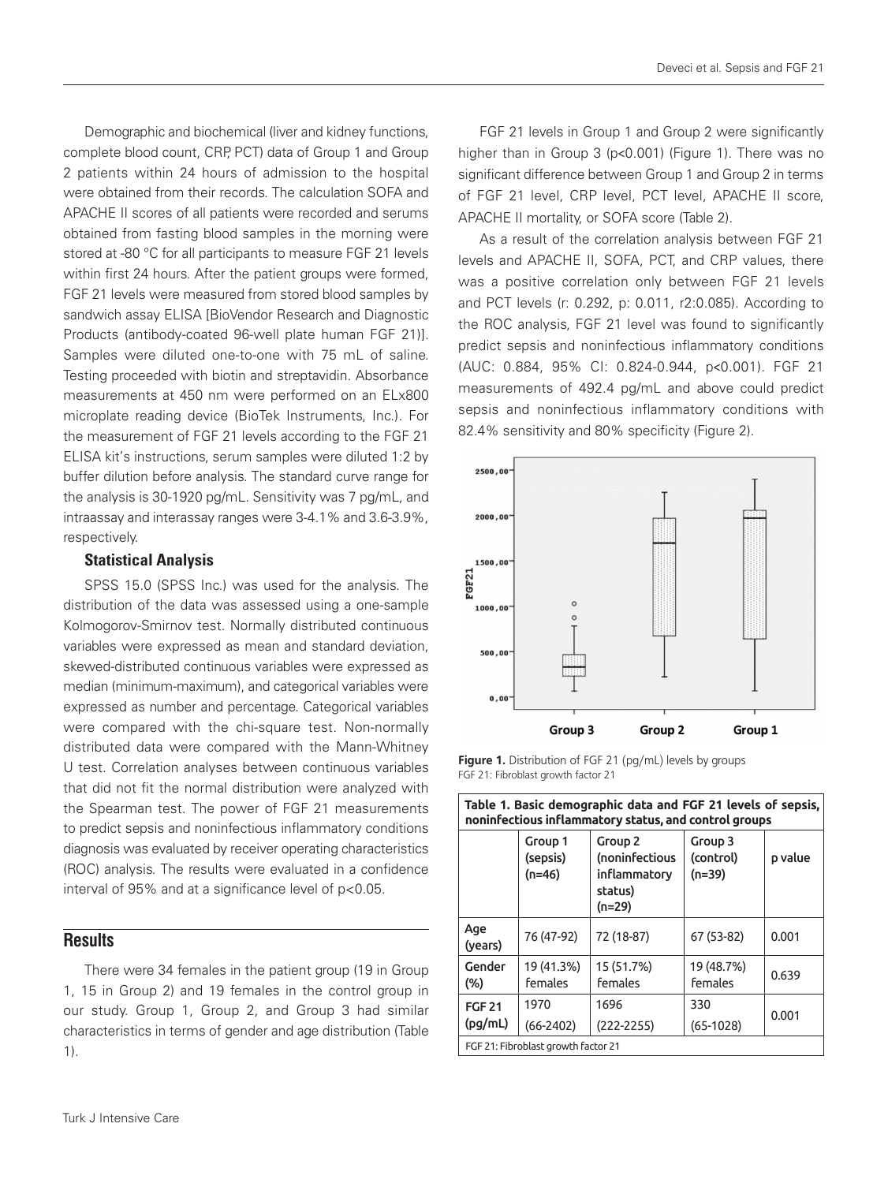Demographic and biochemical (liver and kidney functions, complete blood count, CRP, PCT) data of Group 1 and Group 2 patients within 24 hours of admission to the hospital were obtained from their records. The calculation SOFA and APACHE II scores of all patients were recorded and serums obtained from fasting blood samples in the morning were stored at -80 °C for all participants to measure FGF 21 levels within first 24 hours. After the patient groups were formed, FGF 21 levels were measured from stored blood samples by sandwich assay ELISA [BioVendor Research and Diagnostic Products (antibody-coated 96-well plate human FGF 21)]. Samples were diluted one-to-one with 75 mL of saline. Testing proceeded with biotin and streptavidin. Absorbance measurements at 450 nm were performed on an ELx800 microplate reading device (BioTek Instruments, Inc.). For the measurement of FGF 21 levels according to the FGF 21 ELISA kit's instructions, serum samples were diluted 1:2 by buffer dilution before analysis. The standard curve range for the analysis is 30-1920 pg/mL. Sensitivity was 7 pg/mL, and intraassay and interassay ranges were 3-4.1% and 3.6-3.9%, respectively.

#### Statistical Analysis

SPSS 15.0 (SPSS Inc.) was used for the analysis. The distribution of the data was assessed using a one-sample Kolmogorov-Smirnov test. Normally distributed continuous variables were expressed as mean and standard deviation, skewed-distributed continuous variables were expressed as median (minimum-maximum), and categorical variables were expressed as number and percentage. Categorical variables were compared with the chi-square test. Non-normally distributed data were compared with the Mann-Whitney U test. Correlation analyses between continuous variables that did not fit the normal distribution were analyzed with the Spearman test. The power of FGF 21 measurements to predict sepsis and noninfectious inflammatory conditions diagnosis was evaluated by receiver operating characteristics (ROC) analysis. The results were evaluated in a confidence interval of 95% and at a significance level of p<0.05.

# **Results**

There were 34 females in the patient group (19 in Group 1, 15 in Group 2) and 19 females in the control group in our study. Group 1, Group 2, and Group 3 had similar characteristics in terms of gender and age distribution (Table 1).

FGF 21 levels in Group 1 and Group 2 were significantly higher than in Group 3 (p<0.001) (Figure 1). There was no significant difference between Group 1 and Group 2 in terms of FGF 21 level, CRP level, PCT level, APACHE II score, APACHE II mortality, or SOFA score (Table 2).

As a result of the correlation analysis between FGF 21 levels and APACHE II, SOFA, PCT, and CRP values, there was a positive correlation only between FGF 21 levels and PCT levels (r: 0.292, p: 0.011, r2:0.085). According to the ROC analysis, FGF 21 level was found to significantly predict sepsis and noninfectious inflammatory conditions (AUC: 0.884, 95% CI: 0.824-0.944, p˂0.001). FGF 21 measurements of 492.4 pg/mL and above could predict sepsis and noninfectious inflammatory conditions with 82.4% sensitivity and 80% specificity (Figure 2).



**Figure 1.** Distribution of FGF 21 (pg/mL) levels by groups FGF 21: Fibroblast growth factor 21

| Table 1. Basic demographic data and FGF 21 levels of sepsis,<br>noninfectious inflammatory status, and control groups |                                 |                                                                           |                                |         |
|-----------------------------------------------------------------------------------------------------------------------|---------------------------------|---------------------------------------------------------------------------|--------------------------------|---------|
|                                                                                                                       | Group 1<br>(sepsis)<br>$(n=46)$ | Group <sub>2</sub><br>(noninfectious<br>inflammatory<br>status)<br>(n=29) | Group 3<br>(control)<br>(n=39) | p value |
| Age<br>(years)                                                                                                        | 76 (47-92)                      | 72 (18-87)                                                                | 67 (53-82)                     | 0.001   |
| Gender<br>$(\%)$                                                                                                      | 19 (41.3%)<br>females           | 15 (51.7%)<br>females                                                     | 19 (48.7%)<br>females          | 0.639   |
| <b>FGF 21</b><br>(pg/mL)                                                                                              | 1970<br>$(66-2402)$             | 1696<br>$(222 - 2255)$                                                    | 330<br>$(65-1028)$             | 0.001   |
| FGF 21: Fibroblast growth factor 21                                                                                   |                                 |                                                                           |                                |         |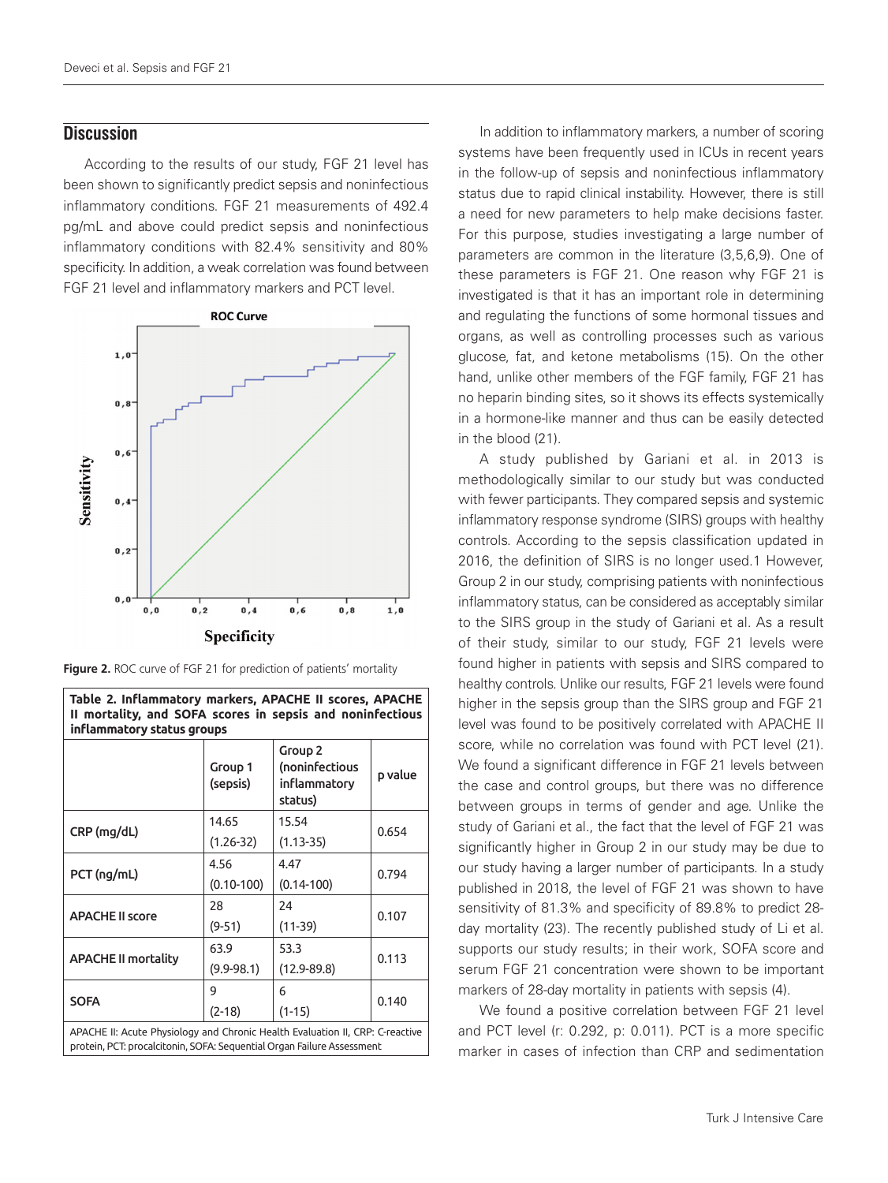### **Discussion**

According to the results of our study, FGF 21 level has been shown to significantly predict sepsis and noninfectious inflammatory conditions. FGF 21 measurements of 492.4 pg/mL and above could predict sepsis and noninfectious inflammatory conditions with 82.4% sensitivity and 80% specificity. In addition, a weak correlation was found between FGF 21 level and inflammatory markers and PCT level.



Figure 2. ROC curve of FGF 21 for prediction of patients' mortality

**Table 2. Inflammatory markers, APACHE II scores, APACHE** 

**II mortality, and SOFA scores in sepsis and noninfectious inflammatory status groups** Group 1 (sepsis) Group 2 (noninfectious inflammatory status) p value CRP (mg/dL) 14.65 (1.26-32) 15.54 (1.13-35) 0.654 PCT (ng/mL) 4.56 (0.10-100) 4.47 (0.14-100) 0.794 APACHE II score 28 (9-51) 24 (11-39) 0.107 APACHE II mortality 63.9 (9.9-98.1) 53.3 (12.9-89.8) 0.113 **SOFA** 9 (2-18) 6 (1-15) 0.140 APACHE II: Acute Physiology and Chronic Health Evaluation II, CRP: C-reactive protein, PCT: procalcitonin, SOFA: Sequential Organ Failure Assessment

In addition to inflammatory markers, a number of scoring systems have been frequently used in ICUs in recent years in the follow-up of sepsis and noninfectious inflammatory status due to rapid clinical instability. However, there is still a need for new parameters to help make decisions faster. For this purpose, studies investigating a large number of parameters are common in the literature (3,5,6,9). One of these parameters is FGF 21. One reason why FGF 21 is investigated is that it has an important role in determining and regulating the functions of some hormonal tissues and organs, as well as controlling processes such as various glucose, fat, and ketone metabolisms (15). On the other hand, unlike other members of the FGF family, FGF 21 has no heparin binding sites, so it shows its effects systemically in a hormone-like manner and thus can be easily detected in the blood (21).

A study published by Gariani et al. in 2013 is methodologically similar to our study but was conducted with fewer participants. They compared sepsis and systemic inflammatory response syndrome (SIRS) groups with healthy controls. According to the sepsis classification updated in 2016, the definition of SIRS is no longer used.1 However, Group 2 in our study, comprising patients with noninfectious inflammatory status, can be considered as acceptably similar to the SIRS group in the study of Gariani et al. As a result of their study, similar to our study, FGF 21 levels were found higher in patients with sepsis and SIRS compared to healthy controls. Unlike our results, FGF 21 levels were found higher in the sepsis group than the SIRS group and FGF 21 level was found to be positively correlated with APACHE II score, while no correlation was found with PCT level (21). We found a significant difference in FGF 21 levels between the case and control groups, but there was no difference between groups in terms of gender and age. Unlike the study of Gariani et al., the fact that the level of FGF 21 was significantly higher in Group 2 in our study may be due to our study having a larger number of participants. In a study published in 2018, the level of FGF 21 was shown to have sensitivity of 81.3% and specificity of 89.8% to predict 28 day mortality (23). The recently published study of Li et al. supports our study results; in their work, SOFA score and serum FGF 21 concentration were shown to be important markers of 28-day mortality in patients with sepsis (4).

We found a positive correlation between FGF 21 level and PCT level (r: 0.292, p: 0.011). PCT is a more specific marker in cases of infection than CRP and sedimentation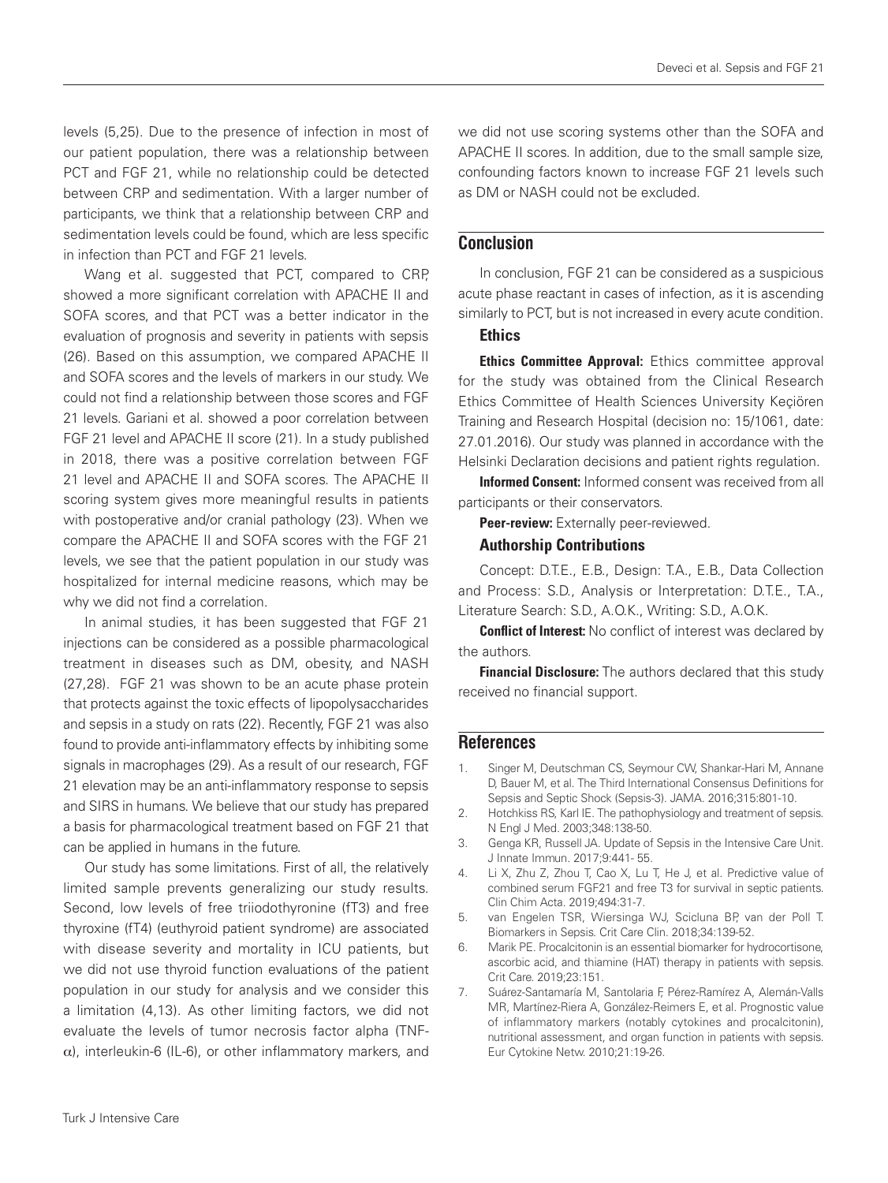levels (5,25). Due to the presence of infection in most of our patient population, there was a relationship between PCT and FGF 21, while no relationship could be detected between CRP and sedimentation. With a larger number of participants, we think that a relationship between CRP and sedimentation levels could be found, which are less specific in infection than PCT and FGF 21 levels.

Wang et al. suggested that PCT, compared to CRP, showed a more significant correlation with APACHE II and SOFA scores, and that PCT was a better indicator in the evaluation of prognosis and severity in patients with sepsis (26). Based on this assumption, we compared APACHE II and SOFA scores and the levels of markers in our study. We could not find a relationship between those scores and FGF 21 levels. Gariani et al. showed a poor correlation between FGF 21 level and APACHE II score (21). In a study published in 2018, there was a positive correlation between FGF 21 level and APACHE II and SOFA scores. The APACHE II scoring system gives more meaningful results in patients with postoperative and/or cranial pathology (23). When we compare the APACHE II and SOFA scores with the FGF 21 levels, we see that the patient population in our study was hospitalized for internal medicine reasons, which may be why we did not find a correlation.

In animal studies, it has been suggested that FGF 21 injections can be considered as a possible pharmacological treatment in diseases such as DM, obesity, and NASH (27,28). FGF 21 was shown to be an acute phase protein that protects against the toxic effects of lipopolysaccharides and sepsis in a study on rats (22). Recently, FGF 21 was also found to provide anti-inflammatory effects by inhibiting some signals in macrophages (29). As a result of our research, FGF 21 elevation may be an anti-inflammatory response to sepsis and SIRS in humans. We believe that our study has prepared a basis for pharmacological treatment based on FGF 21 that can be applied in humans in the future.

Our study has some limitations. First of all, the relatively limited sample prevents generalizing our study results. Second, low levels of free triiodothyronine (fT3) and free thyroxine (fT4) (euthyroid patient syndrome) are associated with disease severity and mortality in ICU patients, but we did not use thyroid function evaluations of the patient population in our study for analysis and we consider this a limitation (4,13). As other limiting factors, we did not evaluate the levels of tumor necrosis factor alpha (TNF- $\alpha$ ), interleukin-6 (IL-6), or other inflammatory markers, and

we did not use scoring systems other than the SOFA and APACHE II scores. In addition, due to the small sample size, confounding factors known to increase FGF 21 levels such as DM or NASH could not be excluded.

# **Conclusion**

In conclusion, FGF 21 can be considered as a suspicious acute phase reactant in cases of infection, as it is ascending similarly to PCT, but is not increased in every acute condition.

#### **Ethics**

Ethics Committee Approval: Ethics committee approval for the study was obtained from the Clinical Research Ethics Committee of Health Sciences University Keçiören Training and Research Hospital (decision no: 15/1061, date: 27.01.2016). Our study was planned in accordance with the Helsinki Declaration decisions and patient rights regulation.

Informed Consent: Informed consent was received from all participants or their conservators.

Peer-review: Externally peer-reviewed.

#### Authorship Contributions

Concept: D.T.E., E.B., Design: T.A., E.B., Data Collection and Process: S.D., Analysis or Interpretation: D.T.E., T.A., Literature Search: S.D., A.O.K., Writing: S.D., A.O.K.

**Conflict of Interest:** No conflict of interest was declared by the authors.

Financial Disclosure: The authors declared that this study received no financial support.

#### **References**

- 1. Singer M, Deutschman CS, Seymour CW, Shankar-Hari M, Annane D, Bauer M, et al. The Third International Consensus Definitions for Sepsis and Septic Shock (Sepsis-3). JAMA. 2016;315:801-10.
- 2. Hotchkiss RS, Karl IE. The pathophysiology and treatment of sepsis. N Engl J Med. 2003;348:138-50.
- 3. Genga KR, Russell JA. Update of Sepsis in the Intensive Care Unit. J Innate Immun. 2017;9:441- 55.
- 4. Li X, Zhu Z, Zhou T, Cao X, Lu T, He J, et al. Predictive value of combined serum FGF21 and free T3 for survival in septic patients. Clin Chim Acta. 2019;494:31-7.
- 5. van Engelen TSR, Wiersinga WJ, Scicluna BP, van der Poll T. Biomarkers in Sepsis. Crit Care Clin. 2018;34:139-52.
- 6. Marik PE. Procalcitonin is an essential biomarker for hydrocortisone, ascorbic acid, and thiamine (HAT) therapy in patients with sepsis. Crit Care. 2019;23:151.
- 7. Suárez-Santamaría M, Santolaria F, Pérez-Ramírez A, Alemán-Valls MR, Martínez-Riera A, González-Reimers E, et al. Prognostic value of inflammatory markers (notably cytokines and procalcitonin), nutritional assessment, and organ function in patients with sepsis. Eur Cytokine Netw. 2010;21:19-26.